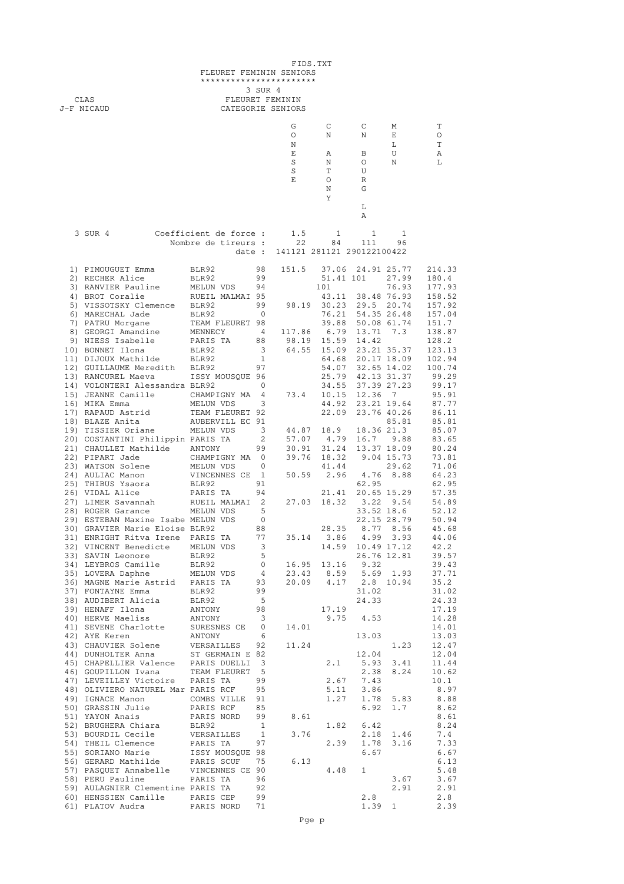| FIDS.TXT<br>FLEURET FEMININ SENIORS<br>*********************** |                                                                                                                                                                                                                                                  |                                                 |                   |                                                   |                    |                                                                                       |                   |                         |  |  |
|----------------------------------------------------------------|--------------------------------------------------------------------------------------------------------------------------------------------------------------------------------------------------------------------------------------------------|-------------------------------------------------|-------------------|---------------------------------------------------|--------------------|---------------------------------------------------------------------------------------|-------------------|-------------------------|--|--|
|                                                                | CLAS<br>J-F NICAUD                                                                                                                                                                                                                               | 3 SUR 4<br>FLEURET FEMININ<br>CATEGORIE SENIORS |                   |                                                   |                    |                                                                                       |                   |                         |  |  |
|                                                                |                                                                                                                                                                                                                                                  |                                                 |                   | G                                                 | $\mathbb{C}$       | $\mathbb{C}$                                                                          | M                 | Τ                       |  |  |
|                                                                |                                                                                                                                                                                                                                                  |                                                 |                   | O<br>N                                            | N                  | N                                                                                     | E<br>$\mathbf L$  | O<br>T                  |  |  |
|                                                                |                                                                                                                                                                                                                                                  |                                                 |                   | E<br>S                                            | Α<br>N             | B<br>$\circ$                                                                          | U<br>N            | Α<br>L                  |  |  |
|                                                                |                                                                                                                                                                                                                                                  |                                                 |                   | S                                                 | T.                 | U                                                                                     |                   |                         |  |  |
|                                                                |                                                                                                                                                                                                                                                  |                                                 |                   | E                                                 | $\circ$            | R                                                                                     |                   |                         |  |  |
|                                                                |                                                                                                                                                                                                                                                  |                                                 |                   |                                                   | N<br>Υ             | G                                                                                     |                   |                         |  |  |
|                                                                |                                                                                                                                                                                                                                                  |                                                 |                   |                                                   |                    | L<br>Α                                                                                |                   |                         |  |  |
|                                                                | 3 SUR 4                                                                                                                                                                                                                                          | Coefficient de force :<br>Nombre de tireurs :   |                   | 1.5<br>22                                         | $\mathbf{1}$<br>84 | $\overline{1}$<br>111                                                                 | - 1<br>96         |                         |  |  |
|                                                                |                                                                                                                                                                                                                                                  |                                                 |                   | date: 141121 281121 290122100422                  |                    |                                                                                       |                   |                         |  |  |
|                                                                | 1) PIMOUGUET Emma                                                                                                                                                                                                                                | BLR92                                           |                   | 98 151.5                                          |                    |                                                                                       | 37.06 24.91 25.77 | 214.33                  |  |  |
|                                                                | 2) RECHER Alice                                                                                                                                                                                                                                  | BLR92                                           | 99                |                                                   |                    |                                                                                       | 51.41 101 27.99   | 180.4                   |  |  |
|                                                                | 2) RANVIER AI1ce<br>3) RANVIER Pauline<br>4) BROT Coralie MELUN VDS<br>4) BROT Coralie RUEIL MALMAI 95<br>5) VISSOTSKY Clemence<br>5) VISSOTSKY Clemence BLR92<br>5) VISSOTSKY Clemence BLR92<br>5) VISSOTSKY Clemence BLR92<br>7) PATRU Morga   |                                                 |                   |                                                   |                    |                                                                                       |                   |                         |  |  |
|                                                                |                                                                                                                                                                                                                                                  |                                                 |                   |                                                   |                    |                                                                                       |                   |                         |  |  |
|                                                                |                                                                                                                                                                                                                                                  |                                                 |                   |                                                   |                    |                                                                                       |                   |                         |  |  |
|                                                                |                                                                                                                                                                                                                                                  |                                                 |                   |                                                   |                    |                                                                                       |                   |                         |  |  |
|                                                                |                                                                                                                                                                                                                                                  |                                                 |                   |                                                   |                    |                                                                                       |                   |                         |  |  |
|                                                                | 9) NIESS Isabelle<br>10) BONNET Ilona<br>11) DIJOUX Mathilde<br>12) GUILLAUME Meredith<br>12) GUILLAUME Meredith<br>12) GUILLAUME Meredith<br>12) GUILLAUME Meredith<br>12) GUILLAUME Meredith<br>12) GUILLAUME Meredith<br>12) GUILLAUME Meredi |                                                 |                   |                                                   |                    |                                                                                       |                   |                         |  |  |
|                                                                |                                                                                                                                                                                                                                                  |                                                 |                   |                                                   |                    |                                                                                       |                   | 25.79 42.13 31.37 99.29 |  |  |
|                                                                | 13) RANCUREL Maeva<br>13) RANCUREL Maeva<br>14) VOLONTERI Alessandra BLR92 0<br>15) JEANNE Camille CHAMPIGNY MA 4 73.4<br>16) MIKA Emma MELUN VDS 3<br>17) RAPAUD Astrid TEAM FLEURET 92                                                         |                                                 |                   |                                                   |                    | $\begin{array}{cccc} & 34.55 & 37.39 & 27.23 \\ 73.4 & 10.15 & 12.36 & 7 \end{array}$ |                   | 99.17                   |  |  |
|                                                                |                                                                                                                                                                                                                                                  |                                                 |                   |                                                   |                    |                                                                                       | 44.92 23.21 19.64 | 95.91<br>87.77          |  |  |
|                                                                |                                                                                                                                                                                                                                                  |                                                 |                   |                                                   | 22.09              |                                                                                       | 23.76 40.26       | 86.11                   |  |  |
|                                                                |                                                                                                                                                                                                                                                  |                                                 |                   |                                                   |                    |                                                                                       |                   | 85.81<br>85.07          |  |  |
|                                                                | ., INSERT OF MELUN VDS<br>20) COSTANTINI Philippin PARIS TA<br>21 CHAULLET Mathilde ANTONY<br>22) PIPART Jade CHAMPIGNY MA 0 39.76 18.32 9.04 15.73<br>23) WATSON Solene MELUN VDS<br>23) WATSON Solene MELUN VDS<br>24 13.37 18.09<br>23) N     |                                                 |                   |                                                   |                    |                                                                                       |                   | 83.65                   |  |  |
|                                                                |                                                                                                                                                                                                                                                  |                                                 |                   |                                                   |                    |                                                                                       |                   | 80.24                   |  |  |
|                                                                |                                                                                                                                                                                                                                                  |                                                 |                   |                                                   |                    |                                                                                       |                   | 73.81<br>71.06          |  |  |
|                                                                |                                                                                                                                                                                                                                                  |                                                 |                   |                                                   |                    |                                                                                       |                   | 64.23                   |  |  |
|                                                                | 25) THIBUS Ysaora                                                                                                                                                                                                                                | BLR92                                           | 91                |                                                   |                    |                                                                                       | 62.95             | 62.95<br>57.35          |  |  |
|                                                                | 26) VIDAL Alice<br>27) LIMER Savannah RUEIL MALMAI 2 27.03 18.32 3.52 9.54<br>28) ROGER Garance MELUN VDS 5 33.52 18.6<br>29) ESTEBAN Maxine Isabe MELUN VDS 6                                                                                   |                                                 |                   |                                                   |                    |                                                                                       |                   | 54.89                   |  |  |
|                                                                | 29) ESTEBAN Maxine Isabe MELUN VDS                                                                                                                                                                                                               |                                                 | 0                 |                                                   |                    |                                                                                       | 22.15 28.79       | 52.12<br>50.94          |  |  |
|                                                                | 30) GRAVIER Marie Eloise BLR92                                                                                                                                                                                                                   |                                                 | 88                |                                                   |                    |                                                                                       | 28.35 8.77 8.56   | 45.68                   |  |  |
|                                                                | 31) ENRIGHT Ritva Irene PARIS TA 77                                                                                                                                                                                                              |                                                 |                   |                                                   |                    | 35.14 3.86 4.99 3.93                                                                  | 14.59 10.49 17.12 | 44.06<br>42.2           |  |  |
|                                                                | 32) VINCENT Benedicte MELUN VDS<br>33) SAVIN Leonore                                                                                                                                                                                             | BLR92                                           | $\frac{3}{5}$     |                                                   |                    |                                                                                       | 26.76 12.81       | 39.57                   |  |  |
|                                                                | 33) SAVIN BEORGE<br>34) LEYBROS Camille BLR92<br>35) LOVERA Daphne MELUN VDS<br>36) MAGNE Marie Astrid PARIS TA                                                                                                                                  |                                                 |                   | $0$ 16.95 13.16 9.32                              |                    |                                                                                       |                   | 39.43                   |  |  |
|                                                                |                                                                                                                                                                                                                                                  |                                                 |                   | 4 23.43 8.59 5.69 1.93<br>93 20.09 4.17 2.8 10.94 |                    |                                                                                       |                   | 37.71<br>35.2           |  |  |
|                                                                | 37) FONTAYNE Emma                                                                                                                                                                                                                                |                                                 | 99                |                                                   |                    | 31.02                                                                                 |                   | 31.02                   |  |  |
|                                                                | 38) AUDIBERT Alicia<br>39) HENAFF Ilona                                                                                                                                                                                                          | ANTONY                                          | $5^{\circ}$<br>98 |                                                   | 17.19              | 24.33                                                                                 |                   | 24.33<br>17.19          |  |  |
|                                                                | 40) HERVE Maeliss                                                                                                                                                                                                                                |                                                 |                   |                                                   |                    | $9.75$ 4.53                                                                           |                   | 14.28                   |  |  |
|                                                                | 41) SEVENE Charlotte<br>42) AYE Keren                                                                                                                                                                                                            | ANTONY 3<br>SURESNES CE 0 14.01<br>ANTONY 6     |                   |                                                   |                    | 13.03                                                                                 |                   | 14.01<br>13.03          |  |  |
|                                                                | 43) CHAUVIER Solene<br>44) DUNHOLTER Anna ST GERMAIN E 82                                                                                                                                                                                        |                                                 |                   |                                                   |                    |                                                                                       | 1.23              | 12.47                   |  |  |
|                                                                | 45) CHAPELLIER Valence PARIS DUELLI 3                                                                                                                                                                                                            |                                                 |                   |                                                   | 2.1                | 12.04                                                                                 | 5.93 3.41         | 12.04<br>11.44          |  |  |
|                                                                | 46) GOUPILLON Ivana TEAM FLEURET 5                                                                                                                                                                                                               |                                                 |                   |                                                   |                    | 2.38                                                                                  | 8.24              | 10.62                   |  |  |
|                                                                | 47) LEVEILLEY Victoire PARIS TA                                                                                                                                                                                                                  |                                                 | 99                |                                                   |                    | $2.67$ 7.43<br>5.11 3.86                                                              |                   | 10.1                    |  |  |
|                                                                | 48) OLIVIERO NATUREL Mar PARIS RCF<br>49) IGNACE Manon                                                                                                                                                                                           | COMBS VILLE 91                                  | 95                |                                                   |                    | $1.27$ 1.78 5.83                                                                      |                   | 8.97<br>8.88            |  |  |
|                                                                | 50) GRASSIN Julie                                                                                                                                                                                                                                | PARIS RCF 85                                    |                   |                                                   |                    | 6.92                                                                                  | 1.7               | 8.62                    |  |  |
|                                                                | 51) YAYON Anais<br>52) BRUGHERA Chiara                                                                                                                                                                                                           | PARIS NORD 99 8.61                              |                   |                                                   | 1.82               | 6.42                                                                                  |                   | 8.61<br>8.24            |  |  |
|                                                                | 53) BOURDIL Cecile                                                                                                                                                                                                                               |                                                 |                   | 3.76                                              |                    |                                                                                       | 2.18 1.46         | 7.4                     |  |  |
|                                                                | 54) THEIL Clemence                                                                                                                                                                                                                               |                                                 |                   |                                                   |                    | 2.39 1.78 3.16<br>6.67                                                                |                   | 7.33<br>6.67            |  |  |
|                                                                | 55) SORIANO Marie 1997<br>56) SORIANO Marie 1997 1998<br>56) GERARD Mathilde PARIS SCUF 75<br>57) PASQUET Annabelle VINCENNES CE 90<br>58) PERU Pauline PARIS TA 96                                                                              |                                                 |                   | 6.13                                              |                    |                                                                                       |                   | 6.13                    |  |  |
|                                                                |                                                                                                                                                                                                                                                  |                                                 |                   |                                                   | 4.48               | $\mathbf{1}$                                                                          |                   | 5.48                    |  |  |
|                                                                | 59) AULAGNIER Clementine PARIS TA                                                                                                                                                                                                                |                                                 | 92                |                                                   |                    |                                                                                       | 3.67<br>2.91      | 3.67<br>2.91            |  |  |
|                                                                | 60) HENSSIEN Camille PARIS CEP                                                                                                                                                                                                                   |                                                 | 99                |                                                   |                    | 2.8                                                                                   |                   | 2.8                     |  |  |
|                                                                |                                                                                                                                                                                                                                                  |                                                 |                   |                                                   |                    |                                                                                       | $1.39$ 1          | 2.39                    |  |  |